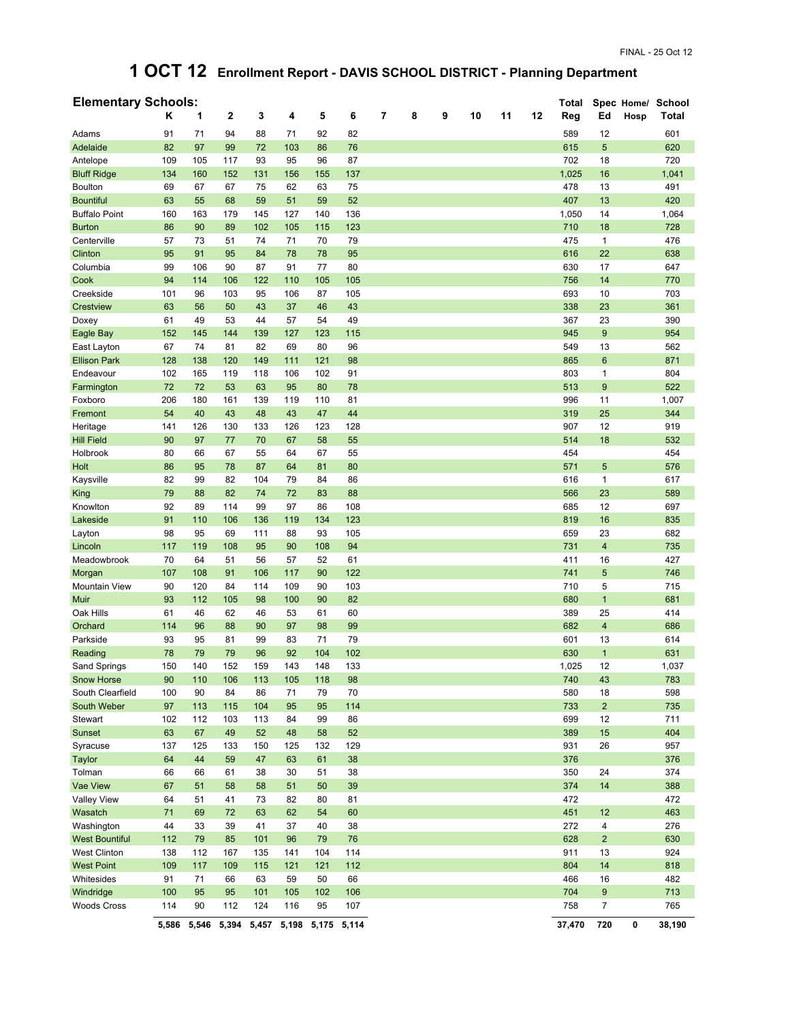## **1 OCT 12 Enrollment Report - DAVIS SCHOOL DISTRICT - Planning Department**

| <b>Elementary Schools:</b> |       |       |                  |                   |     |     |             |   |   |   |    |    |    | Total  |                 |      | Spec Home/ School |
|----------------------------|-------|-------|------------------|-------------------|-----|-----|-------------|---|---|---|----|----|----|--------|-----------------|------|-------------------|
|                            | Κ     | 1     | $\boldsymbol{2}$ | 3                 | 4   | 5   | 6           | 7 | 8 | 9 | 10 | 11 | 12 | Reg    | Ed              | Hosp | Total             |
| Adams                      | 91    | 71    | 94               | 88                | 71  | 92  | 82          |   |   |   |    |    |    | 589    | 12              |      | 601               |
| Adelaide                   | 82    | 97    | 99               | 72                | 103 | 86  | 76          |   |   |   |    |    |    | 615    | 5               |      | 620               |
| Antelope                   | 109   | 105   | 117              | 93                | 95  | 96  | 87          |   |   |   |    |    |    | 702    | 18              |      | 720               |
| <b>Bluff Ridge</b>         | 134   | 160   | 152              | 131               | 156 | 155 | 137         |   |   |   |    |    |    | 1,025  | 16              |      | 1,041             |
| <b>Boulton</b>             | 69    | 67    | 67               | 75                | 62  | 63  | 75          |   |   |   |    |    |    | 478    | 13              |      | 491               |
| <b>Bountiful</b>           | 63    | 55    | 68               | 59                | 51  | 59  | 52          |   |   |   |    |    |    | 407    | 13              |      | 420               |
| <b>Buffalo Point</b>       | 160   | 163   | 179              | 145               | 127 | 140 | 136         |   |   |   |    |    |    | 1,050  | 14              |      | 1,064             |
| <b>Burton</b>              | 86    | 90    | 89               | 102               | 105 | 115 | 123         |   |   |   |    |    |    | 710    | 18              |      | 728               |
| Centerville                | 57    | 73    | 51               | 74                | 71  | 70  | 79          |   |   |   |    |    |    | 475    | 1               |      | 476               |
| Clinton                    | 95    | 91    | 95               | 84                | 78  | 78  | 95          |   |   |   |    |    |    | 616    | 22              |      | 638               |
| Columbia                   | 99    | 106   | 90               | 87                | 91  | 77  | 80          |   |   |   |    |    |    | 630    | 17              |      | 647               |
| Cook                       | 94    | 114   | 106              | 122               | 110 | 105 | 105         |   |   |   |    |    |    | 756    | 14              |      | 770               |
| Creekside                  | 101   | 96    | 103              | 95                | 106 | 87  | 105         |   |   |   |    |    |    | 693    | 10              |      | 703               |
| Crestview                  | 63    | 56    | 50               | 43                | 37  | 46  | 43          |   |   |   |    |    |    | 338    | 23              |      | 361               |
| Doxey                      | 61    | 49    | 53               | 44                | 57  | 54  | 49          |   |   |   |    |    |    | 367    | 23              |      | 390               |
| Eagle Bay                  | 152   | 145   | 144              | 139               | 127 | 123 | 115         |   |   |   |    |    |    | 945    | $9\,$           |      | 954               |
| East Layton                | 67    | 74    | 81               | 82                | 69  | 80  | 96          |   |   |   |    |    |    | 549    | 13              |      | 562               |
| <b>Ellison Park</b>        | 128   | 138   | 120              | 149               | 111 | 121 | 98          |   |   |   |    |    |    | 865    | $6\phantom{1}6$ |      | 871               |
| Endeavour                  | 102   | 165   | 119              | 118               | 106 | 102 | 91          |   |   |   |    |    |    | 803    | 1               |      | 804               |
| Farmington                 | 72    | 72    | 53               | 63                | 95  | 80  | 78          |   |   |   |    |    |    | 513    | 9               |      | 522               |
| Foxboro                    | 206   | 180   | 161              | 139               | 119 | 110 | 81          |   |   |   |    |    |    | 996    | 11              |      | 1,007             |
| Fremont                    | 54    | 40    | 43               | 48                | 43  | 47  | 44          |   |   |   |    |    |    | 319    | 25              |      | 344               |
| Heritage                   | 141   | 126   | 130              | 133               | 126 | 123 | 128         |   |   |   |    |    |    | 907    | 12              |      | 919               |
| <b>Hill Field</b>          | 90    | 97    | 77               | 70                | 67  | 58  | 55          |   |   |   |    |    |    | 514    | 18              |      | 532               |
| Holbrook                   | 80    | 66    | 67               | 55                | 64  | 67  | 55          |   |   |   |    |    |    | 454    |                 |      | 454               |
| Holt                       | 86    | 95    | 78               | 87                | 64  | 81  | 80          |   |   |   |    |    |    | 571    | $5\,$           |      | 576               |
| Kaysville                  | 82    | 99    | 82               | 104               | 79  | 84  | 86          |   |   |   |    |    |    | 616    | 1               |      | 617               |
| King                       | 79    | 88    | 82               | 74                | 72  | 83  | 88          |   |   |   |    |    |    | 566    | 23              |      | 589               |
| Knowlton                   | 92    | 89    | 114              | 99                | 97  | 86  | 108         |   |   |   |    |    |    | 685    | 12              |      | 697               |
| Lakeside                   | 91    | 110   | 106              | 136               | 119 | 134 | 123         |   |   |   |    |    |    | 819    | 16              |      | 835               |
| Layton                     | 98    | 95    | 69               | 111               | 88  | 93  | 105         |   |   |   |    |    |    | 659    | 23              |      | 682               |
| Lincoln                    | 117   | 119   | 108              | 95                | 90  | 108 | 94          |   |   |   |    |    |    | 731    | $\overline{4}$  |      | 735               |
| Meadowbrook                | 70    | 64    | 51               | 56                | 57  | 52  | 61          |   |   |   |    |    |    | 411    | 16              |      | 427               |
| Morgan                     | 107   | 108   | 91               | 106               | 117 | 90  | 122         |   |   |   |    |    |    | 741    | 5               |      | 746               |
| <b>Mountain View</b>       | 90    | 120   | 84               | 114               | 109 | 90  | 103         |   |   |   |    |    |    | 710    | 5               |      | 715               |
| Muir                       | 93    | 112   | 105              | 98                | 100 | 90  | 82          |   |   |   |    |    |    | 680    | $\mathbf{1}$    |      | 681               |
| Oak Hills                  | 61    | 46    | 62               | 46                | 53  | 61  | 60          |   |   |   |    |    |    | 389    | 25              |      | 414               |
| Orchard                    | 114   | 96    | 88               | 90                | 97  | 98  | 99          |   |   |   |    |    |    | 682    | $\overline{4}$  |      | 686               |
| Parkside                   | 93    | 95    | 81               | 99                | 83  | 71  | 79          |   |   |   |    |    |    | 601    | 13              |      | 614               |
| Reading                    | 78    | 79    | 79               | 96                | 92  | 104 | 102         |   |   |   |    |    |    | 630    | $\mathbf{1}$    |      | 631               |
| Sand Springs               | 150   | 140   | 152              | 159               | 143 | 148 | 133         |   |   |   |    |    |    | 1,025  | 12              |      | 1,037             |
| <b>Snow Horse</b>          | 90    | 110   | 106              | 113               | 105 | 118 | 98          |   |   |   |    |    |    | 740    | 43              |      | 783               |
| South Clearfield           | 100   | 90    | 84               | 86                | 71  | 79  | 70          |   |   |   |    |    |    | 580    | 18              |      | 598               |
| South Weber                | 97    | 113   | 115              | 104               | 95  | 95  | 114         |   |   |   |    |    |    | 733    | $\overline{2}$  |      | 735               |
| Stewart                    | 102   | 112   | 103              | 113               | 84  | 99  | 86          |   |   |   |    |    |    | 699    | 12              |      | 711               |
| Sunset                     | 63    | 67    | 49               | 52                | 48  | 58  | 52          |   |   |   |    |    |    | 389    | 15              |      | 404               |
| Syracuse                   | 137   | 125   | 133              | 150               | 125 | 132 | 129         |   |   |   |    |    |    | 931    | 26              |      | 957               |
| Taylor                     | 64    | 44    | 59               | 47                | 63  | 61  | 38          |   |   |   |    |    |    | 376    |                 |      | 376               |
| Tolman                     | 66    | 66    | 61               | 38                | 30  | 51  | 38          |   |   |   |    |    |    | 350    | 24              |      | 374               |
| Vae View                   | 67    | 51    | 58               | 58                | 51  | 50  | 39          |   |   |   |    |    |    | 374    | 14              |      | 388               |
| <b>Valley View</b>         | 64    | 51    | 41               | 73                | 82  | 80  | 81          |   |   |   |    |    |    | 472    |                 |      | 472               |
| Wasatch                    | 71    | 69    | 72               | 63                | 62  | 54  | 60          |   |   |   |    |    |    | 451    | 12              |      | 463               |
| Washington                 | 44    | 33    | 39               | 41                | 37  | 40  | 38          |   |   |   |    |    |    | 272    | $\overline{4}$  |      | 276               |
| <b>West Bountiful</b>      | 112   | 79    | 85               | 101               | 96  | 79  | 76          |   |   |   |    |    |    | 628    | $\overline{2}$  |      | 630               |
| <b>West Clinton</b>        | 138   | 112   | 167              | 135               | 141 | 104 | 114         |   |   |   |    |    |    | 911    | 13              |      | 924               |
| <b>West Point</b>          | 109   | 117   | 109              | 115               | 121 | 121 | 112         |   |   |   |    |    |    | 804    | 14              |      | 818               |
| Whitesides                 | 91    | 71    | 66               | 63                | 59  | 50  | 66          |   |   |   |    |    |    | 466    | 16              |      | 482               |
| Windridge                  | 100   | 95    | 95               | 101               | 105 | 102 | 106         |   |   |   |    |    |    | 704    | 9               |      | 713               |
| <b>Woods Cross</b>         | 114   | 90    | 112              | 124               | 116 | 95  | 107         |   |   |   |    |    |    | 758    | $\overline{7}$  |      | 765               |
|                            | 5,586 | 5,546 |                  | 5,394 5,457 5,198 |     |     | 5,175 5,114 |   |   |   |    |    |    | 37,470 | 720             | 0    | 38,190            |